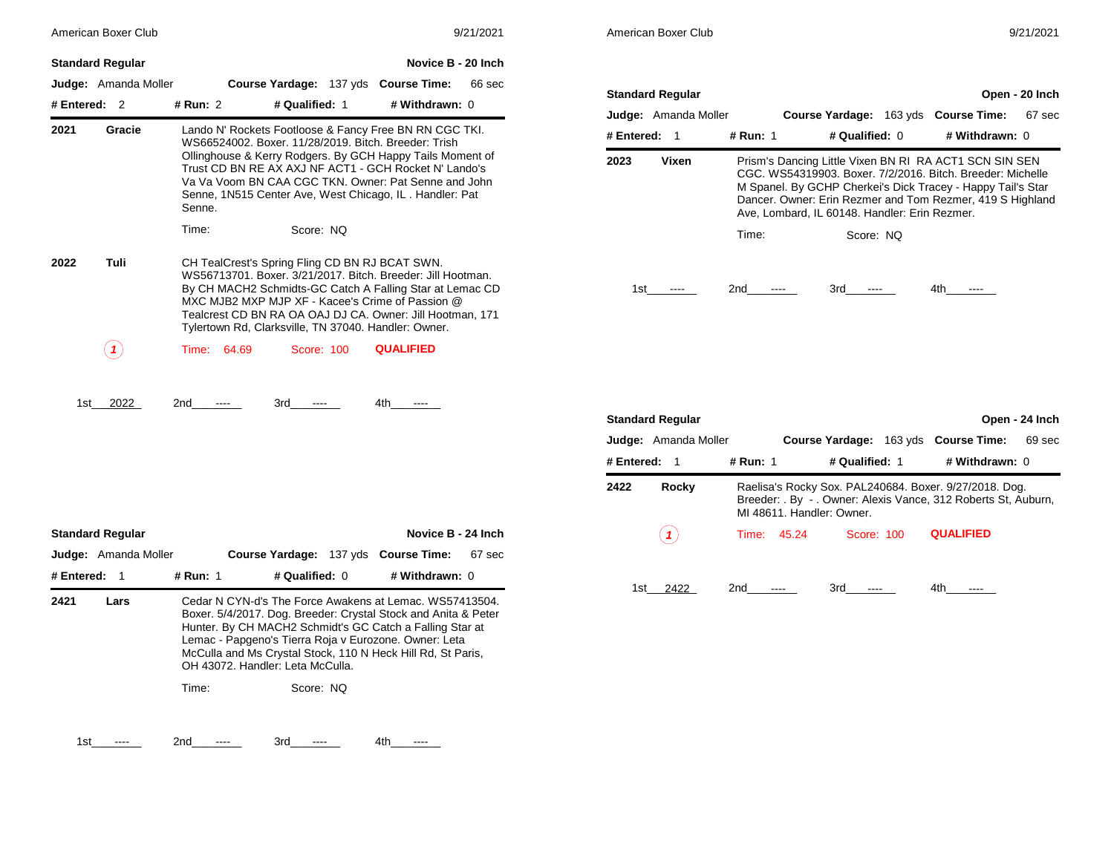|                         | American Boxer Club         |             |                                                                                                                                                                                                                                                                                                                                                    |                                                        | 9/21/2021 |               | American Boxer Club        |             |                                                                                                                                                                                                                                                                                                   |                             |  |                                                                                                                          | 9/21/2021      |
|-------------------------|-----------------------------|-------------|----------------------------------------------------------------------------------------------------------------------------------------------------------------------------------------------------------------------------------------------------------------------------------------------------------------------------------------------------|--------------------------------------------------------|-----------|---------------|----------------------------|-------------|---------------------------------------------------------------------------------------------------------------------------------------------------------------------------------------------------------------------------------------------------------------------------------------------------|-----------------------------|--|--------------------------------------------------------------------------------------------------------------------------|----------------|
| <b>Standard Regular</b> |                             |             |                                                                                                                                                                                                                                                                                                                                                    | Novice B - 20 Inch                                     |           |               |                            |             |                                                                                                                                                                                                                                                                                                   |                             |  |                                                                                                                          |                |
|                         | Judge: Amanda Moller        |             | Course Yardage: 137 yds Course Time:                                                                                                                                                                                                                                                                                                               |                                                        | 66 sec    |               | <b>Standard Regular</b>    |             |                                                                                                                                                                                                                                                                                                   |                             |  |                                                                                                                          | Open - 20 Inch |
| # Entered: $2$          |                             | # Run: 2    | # Qualified: 1                                                                                                                                                                                                                                                                                                                                     | # Withdrawn: 0                                         |           |               | Judge: Amanda Moller       |             |                                                                                                                                                                                                                                                                                                   |                             |  | Course Yardage: 163 yds Course Time:                                                                                     | 67 sec         |
| 2021                    | Gracie                      |             | WS66524002. Boxer. 11/28/2019. Bitch. Breeder: Trish                                                                                                                                                                                                                                                                                               | Lando N' Rockets Footloose & Fancy Free BN RN CGC TKI. |           | # Entered: 1  |                            | # Run: 1    |                                                                                                                                                                                                                                                                                                   | # Qualified: 0              |  | # Withdrawn: 0                                                                                                           |                |
|                         |                             | Senne.      | Ollinghouse & Kerry Rodgers. By GCH Happy Tails Moment of<br>Trust CD BN RE AX AXJ NF ACT1 - GCH Rocket N' Lando's<br>Va Va Voom BN CAA CGC TKN, Owner: Pat Senne and John<br>Senne, 1N515 Center Ave, West Chicago, IL. Handler: Pat                                                                                                              |                                                        |           | 2023<br>Vixen |                            |             | Prism's Dancing Little Vixen BN RI RA ACT1 SCN SIN SEN<br>CGC. WS54319903. Boxer. 7/2/2016. Bitch. Breeder: Michelle<br>M Spanel. By GCHP Cherkei's Dick Tracey - Happy Tail's Star<br>Dancer. Owner: Erin Rezmer and Tom Rezmer, 419 S Highland<br>Ave, Lombard, IL 60148. Handler: Erin Rezmer. |                             |  |                                                                                                                          |                |
|                         |                             | Time:       | Score: NQ                                                                                                                                                                                                                                                                                                                                          |                                                        |           |               |                            | Time:       |                                                                                                                                                                                                                                                                                                   | Score: NQ                   |  |                                                                                                                          |                |
| 2022                    | Tuli                        |             | CH TealCrest's Spring Fling CD BN RJ BCAT SWN.<br>WS56713701. Boxer. 3/21/2017. Bitch. Breeder: Jill Hootman.<br>By CH MACH2 Schmidts-GC Catch A Falling Star at Lemac CD<br>MXC MJB2 MXP MJP XF - Kacee's Crime of Passion @<br>Tealcrest CD BN RA OA OAJ DJ CA. Owner: Jill Hootman, 171<br>Tylertown Rd, Clarksville, TN 37040. Handler: Owner. |                                                        |           | 1st           | $\sim$ $\sim$ $\sim$       | 2nd         | $\cdots$                                                                                                                                                                                                                                                                                          | 3rd<br>$\sim$ $\sim$ $\sim$ |  | 4th -<br>$\cdots$                                                                                                        |                |
|                         | $\left( \mathbf{1}\right)$  | Time: 64.69 | Score: 100                                                                                                                                                                                                                                                                                                                                         | <b>QUALIFIED</b>                                       |           |               |                            |             |                                                                                                                                                                                                                                                                                                   |                             |  |                                                                                                                          |                |
| 1st                     | 2022                        | 2nd         | 3rd<br>$\cdots$                                                                                                                                                                                                                                                                                                                                    | 4th.<br>$\cdots$                                       |           |               | <b>Standard Regular</b>    |             |                                                                                                                                                                                                                                                                                                   |                             |  |                                                                                                                          | Open - 24 Inch |
|                         |                             |             |                                                                                                                                                                                                                                                                                                                                                    |                                                        |           |               | Judge: Amanda Moller       |             |                                                                                                                                                                                                                                                                                                   |                             |  | Course Yardage: 163 yds Course Time:                                                                                     | 69 sec         |
|                         |                             |             |                                                                                                                                                                                                                                                                                                                                                    |                                                        |           | # Entered: 1  |                            | # Run: 1    |                                                                                                                                                                                                                                                                                                   | # Qualified: 1              |  | # Withdrawn: 0                                                                                                           |                |
|                         |                             |             |                                                                                                                                                                                                                                                                                                                                                    |                                                        |           | 2422          | Rocky                      |             | MI 48611. Handler: Owner.                                                                                                                                                                                                                                                                         |                             |  | Raelisa's Rocky Sox. PAL240684. Boxer. 9/27/2018. Dog.<br>Breeder: . By - . Owner: Alexis Vance, 312 Roberts St, Auburn, |                |
| <b>Standard Regular</b> |                             |             |                                                                                                                                                                                                                                                                                                                                                    | Novice B - 24 Inch                                     |           |               | $\left( \textbf{1}\right)$ | Time: 45.24 |                                                                                                                                                                                                                                                                                                   | Score: 100                  |  | <b>QUALIFIED</b>                                                                                                         |                |
|                         | <b>Judge:</b> Amanda Moller |             | Course Yardage: 137 yds Course Time:                                                                                                                                                                                                                                                                                                               |                                                        | 67 sec    |               |                            |             |                                                                                                                                                                                                                                                                                                   |                             |  |                                                                                                                          |                |
| # Entered: 1            |                             | # Run: 1    | # Qualified: 0                                                                                                                                                                                                                                                                                                                                     | # Withdrawn: 0                                         |           |               |                            |             |                                                                                                                                                                                                                                                                                                   |                             |  |                                                                                                                          |                |
| 2421                    | Lars                        |             | Cedar N CYN-d's The Force Awakens at Lemac. WS57413504.<br>Boxer. 5/4/2017. Dog. Breeder: Crystal Stock and Anita & Peter<br>Hunter. By CH MACH2 Schmidt's GC Catch a Falling Star at<br>Lemac - Papgeno's Tierra Roja v Eurozone. Owner: Leta<br>McCulla and Ms Crystal Stock, 110 N Heck Hill Rd, St Paris,<br>OH 43072. Handler: Leta McCulla.  |                                                        |           |               | 1st 2422                   | 2nd         | $\cdots$                                                                                                                                                                                                                                                                                          | 3rd<br>$\cdots$             |  | 4th -<br>$\cdots$                                                                                                        |                |
|                         |                             | Time:       | Score: NQ                                                                                                                                                                                                                                                                                                                                          |                                                        |           |               |                            |             |                                                                                                                                                                                                                                                                                                   |                             |  |                                                                                                                          |                |

1st ---- 2nd ---- 3rd ---- 4th ----

|              | <b>Standard Regular</b> |          |                           |                |                                                                                                                          | Open - 24 Inch |
|--------------|-------------------------|----------|---------------------------|----------------|--------------------------------------------------------------------------------------------------------------------------|----------------|
|              | Judge: Amanda Moller    |          |                           |                | Course Yardage: 163 yds Course Time:                                                                                     | 69 sec         |
| # Entered: 1 |                         | # Run: 1 |                           | # Qualified: 1 | # Withdrawn: 0                                                                                                           |                |
| 2422         | Rocky                   |          | MI 48611. Handler: Owner. |                | Raelisa's Rocky Sox. PAL240684. Boxer. 9/27/2018. Dog.<br>Breeder: . By - . Owner: Alexis Vance, 312 Roberts St, Auburn, |                |
|              |                         |          | Time: 45.24               | Score: 100     | <b>QUALIFIED</b>                                                                                                         |                |
| 1st          | 2422                    | 2nd      |                           | 3rd            | 4th                                                                                                                      |                |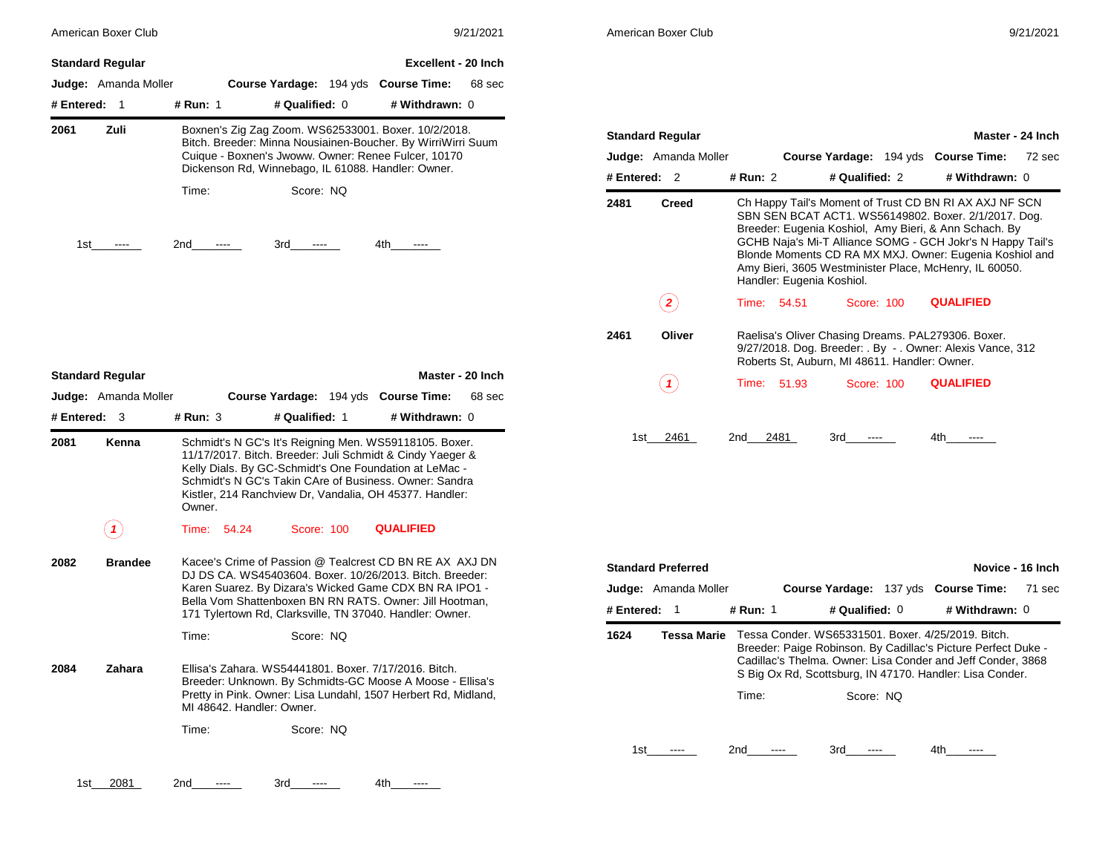|                | American Boxer Club        |                                                        |                                                                                                                                                                                      |                            | 9/21/2021        | American Boxer Club |                             |             |      |                                                                                                                                                                                                                                                                                                                                                                                         |                  | 9/21/2021        |
|----------------|----------------------------|--------------------------------------------------------|--------------------------------------------------------------------------------------------------------------------------------------------------------------------------------------|----------------------------|------------------|---------------------|-----------------------------|-------------|------|-----------------------------------------------------------------------------------------------------------------------------------------------------------------------------------------------------------------------------------------------------------------------------------------------------------------------------------------------------------------------------------------|------------------|------------------|
|                | <b>Standard Regular</b>    |                                                        |                                                                                                                                                                                      | <b>Excellent - 20 Inch</b> |                  |                     |                             |             |      |                                                                                                                                                                                                                                                                                                                                                                                         |                  |                  |
|                | Judge: Amanda Moller       |                                                        | Course Yardage: 194 yds Course Time:                                                                                                                                                 |                            | 68 sec           |                     |                             |             |      |                                                                                                                                                                                                                                                                                                                                                                                         |                  |                  |
| # Entered: 1   |                            | # Run: 1                                               | # Qualified: 0                                                                                                                                                                       | # Withdrawn: 0             |                  |                     |                             |             |      |                                                                                                                                                                                                                                                                                                                                                                                         |                  |                  |
| 2061           | Zuli                       |                                                        | Boxnen's Zig Zag Zoom. WS62533001. Boxer. 10/2/2018.                                                                                                                                 |                            |                  |                     | <b>Standard Regular</b>     |             |      |                                                                                                                                                                                                                                                                                                                                                                                         |                  | Master - 24 Inch |
|                |                            |                                                        | Bitch. Breeder: Minna Nousiainen-Boucher. By WirriWirri Suum<br>Cuique - Boxnen's Jwoww. Owner: Renee Fulcer, 10170                                                                  |                            |                  |                     | <b>Judge:</b> Amanda Moller |             |      | Course Yardage: 194 yds Course Time:                                                                                                                                                                                                                                                                                                                                                    |                  | 72 sec           |
|                |                            |                                                        | Dickenson Rd, Winnebago, IL 61088. Handler: Owner.                                                                                                                                   |                            |                  | # Entered: 2        |                             | # Run: 2    |      | # Qualified: 2                                                                                                                                                                                                                                                                                                                                                                          | # Withdrawn: 0   |                  |
| 1st            |                            | Time:<br>2nd<br>$\cdots$                               | Score: NQ<br>3rd<br>$\cdots$                                                                                                                                                         | 4th -                      |                  | 2481                | <b>Creed</b>                |             |      | Ch Happy Tail's Moment of Trust CD BN RI AX AXJ NF SCN<br>SBN SEN BCAT ACT1. WS56149802. Boxer. 2/1/2017. Dog.<br>Breeder: Eugenia Koshiol, Amy Bieri, & Ann Schach. By<br>GCHB Naja's Mi-T Alliance SOMG - GCH Jokr's N Happy Tail's<br>Blonde Moments CD RA MX MXJ. Owner: Eugenia Koshiol and<br>Amy Bieri, 3605 Westminister Place, McHenry, IL 60050.<br>Handler: Eugenia Koshiol. |                  |                  |
|                |                            |                                                        |                                                                                                                                                                                      |                            |                  |                     | $\bf(2)$                    | Time: 54.51 |      | <b>Score: 100</b>                                                                                                                                                                                                                                                                                                                                                                       | <b>QUALIFIED</b> |                  |
|                |                            |                                                        |                                                                                                                                                                                      |                            |                  | 2461                | Oliver                      |             |      | Raelisa's Oliver Chasing Dreams. PAL279306. Boxer.<br>9/27/2018. Dog. Breeder: . By - . Owner: Alexis Vance, 312<br>Roberts St, Auburn, MI 48611. Handler: Owner.                                                                                                                                                                                                                       |                  |                  |
|                | <b>Standard Regular</b>    |                                                        |                                                                                                                                                                                      |                            | Master - 20 Inch |                     | (1)                         | Time: 51.93 |      | Score: 100                                                                                                                                                                                                                                                                                                                                                                              | <b>QUALIFIED</b> |                  |
|                | Judge: Amanda Moller       |                                                        | Course Yardage: 194 yds Course Time:                                                                                                                                                 |                            | 68 sec           |                     |                             |             |      |                                                                                                                                                                                                                                                                                                                                                                                         |                  |                  |
| # Entered: $3$ |                            | $#$ Run: 3                                             | # Qualified: 1                                                                                                                                                                       | # Withdrawn: 0             |                  |                     |                             |             |      |                                                                                                                                                                                                                                                                                                                                                                                         |                  |                  |
| 2081           | Kenna                      | Schmidt's N GC's Takin CAre of Business. Owner: Sandra | Schmidt's N GC's It's Reigning Men. WS59118105. Boxer.<br>11/17/2017. Bitch. Breeder: Juli Schmidt & Cindy Yaeger &<br>Kelly Dials. By GC-Schmidt's One Foundation at LeMac -        |                            |                  |                     | 1st 2461                    | 2nd         | 2481 | 3rd<br>$\cdots$                                                                                                                                                                                                                                                                                                                                                                         | 4th<br>$\cdots$  |                  |
|                |                            | Owner.                                                 | Kistler, 214 Ranchview Dr, Vandalia, OH 45377. Handler:                                                                                                                              |                            |                  |                     |                             |             |      |                                                                                                                                                                                                                                                                                                                                                                                         |                  |                  |
|                | $\left( \mathbf{1}\right)$ | Time: 54.24                                            | Score: 100                                                                                                                                                                           | <b>QUALIFIED</b>           |                  |                     |                             |             |      |                                                                                                                                                                                                                                                                                                                                                                                         |                  |                  |
|                | <b>Brandee</b>             |                                                        | Kacee's Crime of Passion @ Tealcrest CD BN RE AX AXJ DN                                                                                                                              |                            |                  |                     | <b>Standard Preferred</b>   |             |      |                                                                                                                                                                                                                                                                                                                                                                                         |                  | Novice - 16 Inch |
| 2082           |                            |                                                        | DJ DS CA. WS45403604. Boxer. 10/26/2013. Bitch. Breeder:<br>Karen Suarez. By Dizara's Wicked Game CDX BN RA IPO1 -                                                                   |                            |                  |                     | <b>Judge:</b> Amanda Moller |             |      | Course Yardage: 137 yds Course Time:                                                                                                                                                                                                                                                                                                                                                    |                  |                  |
|                |                            |                                                        | Bella Vom Shattenboxen BN RN RATS. Owner: Jill Hootman,                                                                                                                              |                            |                  | # Entered: 1        |                             | # Run: 1    |      | # Qualified: 0                                                                                                                                                                                                                                                                                                                                                                          | # Withdrawn: 0   |                  |
|                |                            | Time:                                                  | 171 Tylertown Rd, Clarksville, TN 37040. Handler: Owner.<br>Score: NQ                                                                                                                |                            |                  | 1624                | Tessa Marie                 |             |      | Tessa Conder. WS65331501. Boxer. 4/25/2019. Bitch.<br>Breeder: Paige Robinson. By Cadillac's Picture Perfect Duke -                                                                                                                                                                                                                                                                     |                  | 71 sec           |
|                | Zahara                     | MI 48642. Handler: Owner.                              | Ellisa's Zahara. WS54441801. Boxer. 7/17/2016. Bitch.<br>Breeder: Unknown. By Schmidts-GC Moose A Moose - Ellisa's<br>Pretty in Pink. Owner: Lisa Lundahl, 1507 Herbert Rd, Midland, |                            |                  |                     |                             | Time:       |      | Cadillac's Thelma. Owner: Lisa Conder and Jeff Conder, 3868<br>S Big Ox Rd, Scottsburg, IN 47170. Handler: Lisa Conder.<br>Score: NQ                                                                                                                                                                                                                                                    |                  |                  |
| 2084           |                            | Time:                                                  | Score: NQ                                                                                                                                                                            |                            |                  |                     |                             |             |      |                                                                                                                                                                                                                                                                                                                                                                                         |                  |                  |

|            | <b>Standard Regular</b><br>Master - 24 Inch |          |                                               |                |  |                                                                                                                                                                                                                                                                                                                                                            |        |  |  |  |
|------------|---------------------------------------------|----------|-----------------------------------------------|----------------|--|------------------------------------------------------------------------------------------------------------------------------------------------------------------------------------------------------------------------------------------------------------------------------------------------------------------------------------------------------------|--------|--|--|--|
|            | <b>Judge:</b> Amanda Moller                 |          |                                               |                |  | Course Yardage: 194 yds Course Time:                                                                                                                                                                                                                                                                                                                       | 72 sec |  |  |  |
| # Entered: | -2                                          | # Run: 2 |                                               | # Qualified: 2 |  | # Withdrawn: 0                                                                                                                                                                                                                                                                                                                                             |        |  |  |  |
| 2481       | <b>Creed</b>                                |          | Handler: Eugenia Koshiol.                     |                |  | Ch Happy Tail's Moment of Trust CD BN RI AX AXJ NF SCN<br>SBN SEN BCAT ACT1. WS56149802. Boxer. 2/1/2017. Dog.<br>Breeder: Eugenia Koshiol, Amy Bieri, & Ann Schach. By<br>GCHB Naja's Mi-T Alliance SOMG - GCH Jokr's N Happy Tail's<br>Blonde Moments CD RA MX MXJ. Owner: Eugenia Koshiol and<br>Amy Bieri, 3605 Westminister Place, McHenry, IL 60050. |        |  |  |  |
|            |                                             |          | Time: 54.51                                   | Score: 100     |  | <b>QUALIFIED</b>                                                                                                                                                                                                                                                                                                                                           |        |  |  |  |
| 2461       | Oliver                                      |          | Roberts St, Auburn, MI 48611. Handler: Owner. |                |  | Raelisa's Oliver Chasing Dreams. PAL279306. Boxer.<br>9/27/2018. Dog. Breeder: . By - . Owner: Alexis Vance, 312                                                                                                                                                                                                                                           |        |  |  |  |
|            |                                             | Time:    | 51.93                                         | Score: 100     |  | <b>QUALIFIED</b>                                                                                                                                                                                                                                                                                                                                           |        |  |  |  |
| 1st        | 2461                                        | 2nd      | 2481                                          | 3rd            |  | 4th                                                                                                                                                                                                                                                                                                                                                        |        |  |  |  |

|            | <b>Standard Preferred</b><br>Novice - 16 Inch |          |                                                                                                                                                                                                                                                |  |                |        |  |  |  |  |  |
|------------|-----------------------------------------------|----------|------------------------------------------------------------------------------------------------------------------------------------------------------------------------------------------------------------------------------------------------|--|----------------|--------|--|--|--|--|--|
|            | <b>Judge:</b> Amanda Moller                   |          | <b>Course Yardage: 137 yds Course Time:</b>                                                                                                                                                                                                    |  |                | 71 sec |  |  |  |  |  |
| # Entered: | $\overline{1}$                                | # Run: 1 | # Qualified: $0$                                                                                                                                                                                                                               |  | # Withdrawn: 0 |        |  |  |  |  |  |
| 1624       | Tessa Marie                                   |          | Tessa Conder, WS65331501, Boxer, 4/25/2019, Bitch.<br>Breeder: Paige Robinson. By Cadillac's Picture Perfect Duke -<br>Cadillac's Thelma. Owner: Lisa Conder and Jeff Conder, 3868<br>S Big Ox Rd, Scottsburg, IN 47170. Handler: Lisa Conder. |  |                |        |  |  |  |  |  |
|            |                                               | Time:    | Score: NO                                                                                                                                                                                                                                      |  |                |        |  |  |  |  |  |
| 1st        |                                               | 2nd      | 3rd                                                                                                                                                                                                                                            |  | 4th            |        |  |  |  |  |  |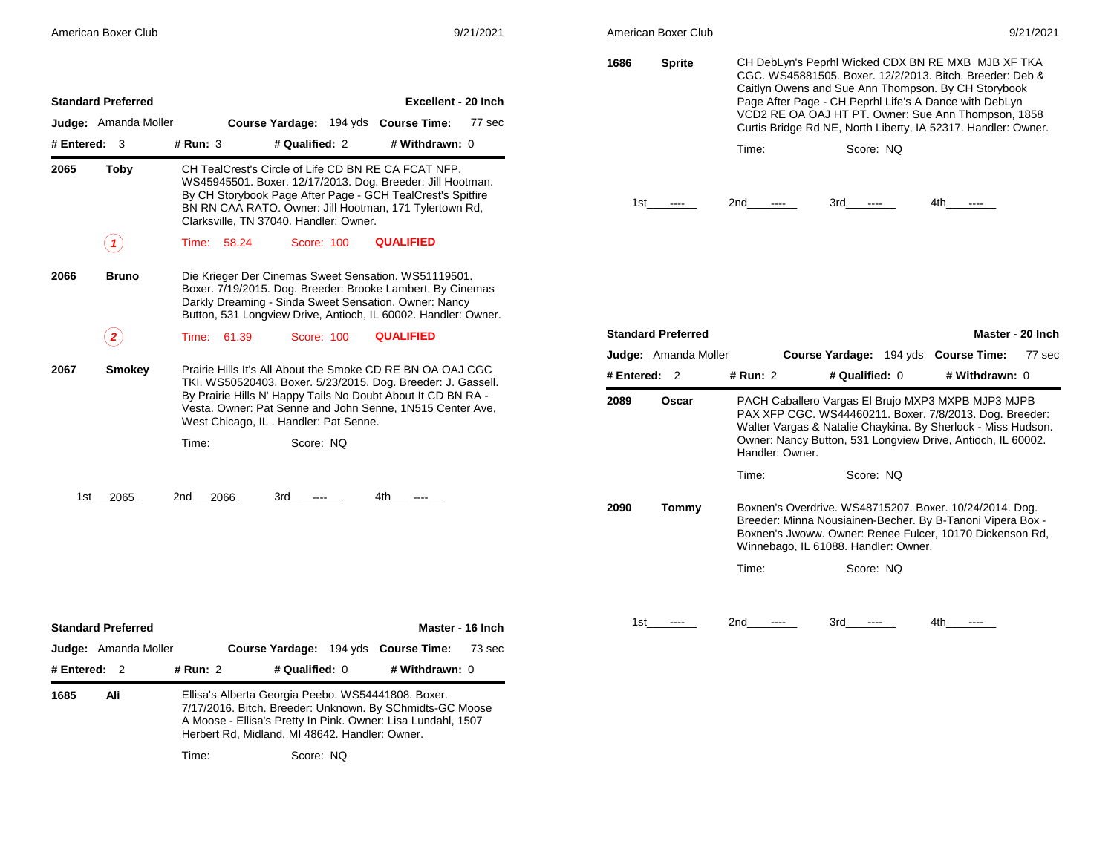| American Boxer Club |  |
|---------------------|--|
|                     |  |

| 1686 | <b>Sprite</b> |       | CH DebLyn's Peprhl Wicked CDX BN RE MXB MJB XF TKA<br>CGC. WS45881505. Boxer. 12/2/2013. Bitch. Breeder: Deb &<br>Caitlyn Owens and Sue Ann Thompson. By CH Storybook<br>Page After Page - CH Peprhl Life's A Dance with DebLyn<br>VCD2 RE OA OAJ HT PT. Owner: Sue Ann Thompson, 1858<br>Curtis Bridge Rd NE, North Liberty, IA 52317. Handler: Owner. |     |
|------|---------------|-------|---------------------------------------------------------------------------------------------------------------------------------------------------------------------------------------------------------------------------------------------------------------------------------------------------------------------------------------------------------|-----|
|      |               | Time: | Score: NO                                                                                                                                                                                                                                                                                                                                               |     |
| 1st  |               | 2nd   | 3rd                                                                                                                                                                                                                                                                                                                                                     | 4th |

|            | <b>Standard Preferred</b>   |                 |                                                                                                                                                                                                                                              |                | Master - 20 Inch |
|------------|-----------------------------|-----------------|----------------------------------------------------------------------------------------------------------------------------------------------------------------------------------------------------------------------------------------------|----------------|------------------|
|            | <b>Judge:</b> Amanda Moller |                 | Course Yardage: 194 yds Course Time:                                                                                                                                                                                                         |                | 77 sec           |
| # Entered: | $\overline{2}$              | # Run: 2        | # Qualified: 0                                                                                                                                                                                                                               | # Withdrawn: 0 |                  |
| 2089       | Oscar                       | Handler: Owner. | PACH Caballero Vargas El Brujo MXP3 MXPB MJP3 MJPB<br>PAX XFP CGC. WS44460211. Boxer. 7/8/2013. Dog. Breeder:<br>Walter Vargas & Natalie Chaykina. By Sherlock - Miss Hudson.<br>Owner: Nancy Button, 531 Longview Drive, Antioch, IL 60002. |                |                  |
|            |                             | Time:           | Score: NO                                                                                                                                                                                                                                    |                |                  |
| 2090       | Tommy                       |                 | Boxnen's Overdrive. WS48715207. Boxer. 10/24/2014. Dog.<br>Breeder: Minna Nousiainen-Becher. By B-Tanoni Vipera Box -<br>Boxnen's Jwoww. Owner: Renee Fulcer, 10170 Dickenson Rd.<br>Winnebago, IL 61088. Handler: Owner.                    |                |                  |
| 1st -      |                             | Time:<br>2nd    | Score: NQ<br>3rd                                                                                                                                                                                                                             | 4th.           |                  |
|            |                             |                 |                                                                                                                                                                                                                                              |                |                  |

|                | <b>Judge:</b> Amanda Moller |             |       |                                        | Course Yardage: 194 yds Course Time:                                                                                                                                                                                                                    | 77 sec |
|----------------|-----------------------------|-------------|-------|----------------------------------------|---------------------------------------------------------------------------------------------------------------------------------------------------------------------------------------------------------------------------------------------------------|--------|
| # Entered: $3$ |                             | # $Run: 3$  |       | # Qualified: 2                         | # Withdrawn: 0                                                                                                                                                                                                                                          |        |
| 2065           | Toby                        |             |       | Clarksville, TN 37040. Handler: Owner. | CH TealCrest's Circle of Life CD BN RE CA FCAT NFP.<br>WS45945501. Boxer. 12/17/2013. Dog. Breeder: Jill Hootman.<br>By CH Storybook Page After Page - GCH TealCrest's Spitfire<br>BN RN CAA RATO. Owner: Jill Hootman, 171 Tylertown Rd,               |        |
|                | 1                           | Time:       | 58.24 | Score: 100                             | <b>QUALIFIED</b>                                                                                                                                                                                                                                        |        |
| 2066           | <b>Bruno</b>                |             |       |                                        | Die Krieger Der Cinemas Sweet Sensation. WS51119501.<br>Boxer. 7/19/2015. Dog. Breeder: Brooke Lambert. By Cinemas<br>Darkly Dreaming - Sinda Sweet Sensation. Owner: Nancy<br>Button, 531 Longview Drive, Antioch, IL 60002. Handler: Owner.           |        |
|                |                             | Time: 61.39 |       | <b>Score: 100</b>                      | <b>QUALIFIED</b>                                                                                                                                                                                                                                        |        |
| 2067           | Smokey                      |             |       | West Chicago, IL. Handler: Pat Senne.  | Prairie Hills It's All About the Smoke CD RE BN OA OAJ CGC<br>TKI. WS50520403. Boxer. 5/23/2015. Dog. Breeder: J. Gassell.<br>By Prairie Hills N' Happy Tails No Doubt About It CD BN RA -<br>Vesta. Owner: Pat Senne and John Senne, 1N515 Center Ave, |        |
|                |                             | Time:       |       | Score: NQ                              |                                                                                                                                                                                                                                                         |        |
| 1st l          | 2065                        | 2nd         | 2066  | 3rd<br>$\cdots$                        | 4th<br>$\cdots$                                                                                                                                                                                                                                         |        |
|                |                             |             |       |                                        |                                                                                                                                                                                                                                                         |        |
|                | <b>Standard Preferred</b>   |             |       |                                        | Master - 16 Inch                                                                                                                                                                                                                                        |        |
|                | <b>Judge:</b> Amanda Moller |             |       |                                        | Course Yardage: 194 yds Course Time:                                                                                                                                                                                                                    | 73 sec |

Herbert Rd, Midland, MI 48642. Handler: Owner.

Time: Score: NQ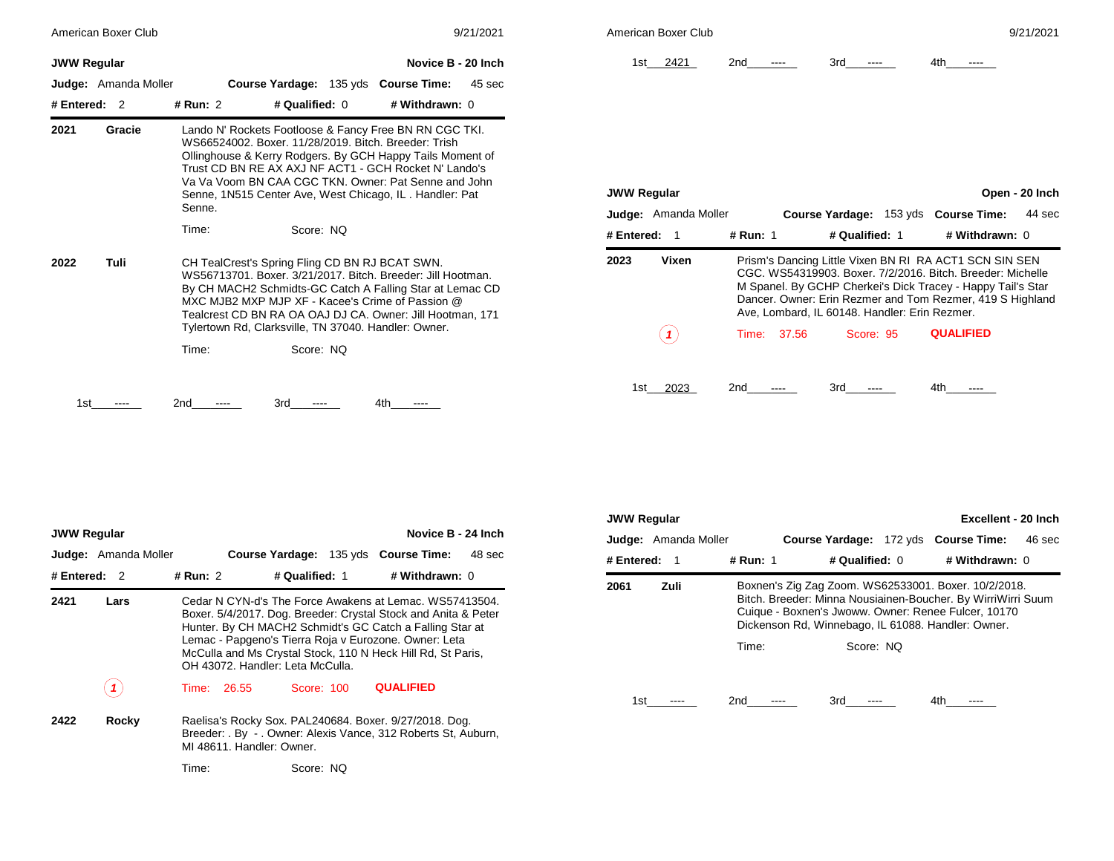| American Boxer Club<br>9/21/2021           |                                                                                                                                                                                                                                                                                                                                                                   | American Boxer Club                                                                                                                                                                                                                                                                                                | 9/21/2021 |  |
|--------------------------------------------|-------------------------------------------------------------------------------------------------------------------------------------------------------------------------------------------------------------------------------------------------------------------------------------------------------------------------------------------------------------------|--------------------------------------------------------------------------------------------------------------------------------------------------------------------------------------------------------------------------------------------------------------------------------------------------------------------|-----------|--|
| <b>JWW Regular</b><br>Judge: Amanda Moller | Novice B - 20 Inch<br>Course Yardage: 135 yds Course Time:<br>45 sec                                                                                                                                                                                                                                                                                              | 1st 2421<br>3rd<br>4th<br>2 <sub>nd</sub><br>----<br>----<br>$---$                                                                                                                                                                                                                                                 |           |  |
| # Entered: 2                               | # Qualified: 0<br># Withdrawn: 0<br># Run: 2                                                                                                                                                                                                                                                                                                                      |                                                                                                                                                                                                                                                                                                                    |           |  |
| 2021<br>Gracie                             | Lando N' Rockets Footloose & Fancy Free BN RN CGC TKI.<br>WS66524002, Boxer, 11/28/2019, Bitch, Breeder: Trish<br>Ollinghouse & Kerry Rodgers. By GCH Happy Tails Moment of<br>Trust CD BN RE AX AXJ NF ACT1 - GCH Rocket N' Lando's<br>Va Va Voom BN CAA CGC TKN, Owner: Pat Senne and John<br>Senne, 1N515 Center Ave, West Chicago, IL. Handler: Pat<br>Senne. | Open - 20 Inch<br><b>JWW Regular</b><br><b>Judge:</b> Amanda Moller<br>Course Yardage: 153 yds Course Time:                                                                                                                                                                                                        | 44 sec    |  |
|                                            | Score: NQ<br>Time:                                                                                                                                                                                                                                                                                                                                                | # Qualified: 1<br># Entered: 1<br># Run: 1<br># Withdrawn: 0                                                                                                                                                                                                                                                       |           |  |
| Tuli<br>2022                               | CH TealCrest's Spring Fling CD BN RJ BCAT SWN.<br>WS56713701, Boxer, 3/21/2017, Bitch, Breeder; Jill Hootman,<br>By CH MACH2 Schmidts-GC Catch A Falling Star at Lemac CD<br>MXC MJB2 MXP MJP XF - Kacee's Crime of Passion @<br>Tealcrest CD BN RA OA OAJ DJ CA. Owner: Jill Hootman, 171                                                                        | Vixen<br>2023<br>Prism's Dancing Little Vixen BN RI RA ACT1 SCN SIN SEN<br>CGC, WS54319903, Boxer, 7/2/2016, Bitch, Breeder: Michelle<br>M Spanel. By GCHP Cherkei's Dick Tracey - Happy Tail's Star<br>Dancer, Owner: Erin Rezmer and Tom Rezmer, 419 S Highland<br>Ave, Lombard, IL 60148. Handler: Erin Rezmer. |           |  |
|                                            | Tylertown Rd, Clarksville, TN 37040. Handler: Owner.<br>Score: NQ<br>Time:                                                                                                                                                                                                                                                                                        | (1)<br><b>QUALIFIED</b><br>37.56<br>Score: 95<br>Time:                                                                                                                                                                                                                                                             |           |  |
| 1st                                        | 2nd<br>4th<br>3rd<br>$---$                                                                                                                                                                                                                                                                                                                                        | 2023<br>1st l<br>2nd<br>3rd<br>4th                                                                                                                                                                                                                                                                                 |           |  |

|                    | American Boxer Club         |             |                                               | 9/21/2021                                                                                                                                                                                                                                        |
|--------------------|-----------------------------|-------------|-----------------------------------------------|--------------------------------------------------------------------------------------------------------------------------------------------------------------------------------------------------------------------------------------------------|
| 1st l              | 2421                        | 2nd         | 3rd                                           | 4th                                                                                                                                                                                                                                              |
|                    |                             |             |                                               |                                                                                                                                                                                                                                                  |
|                    |                             |             |                                               |                                                                                                                                                                                                                                                  |
|                    |                             |             |                                               |                                                                                                                                                                                                                                                  |
| <b>JWW Regular</b> |                             |             |                                               | Open - 20 Inch                                                                                                                                                                                                                                   |
|                    | <b>Judge:</b> Amanda Moller |             | Course Yardage: 153 yds Course Time:          | 44 sec                                                                                                                                                                                                                                           |
| # Entered:         | $\mathbf 1$                 | # Run: 1    | # Qualified: 1                                | # Withdrawn: 0                                                                                                                                                                                                                                   |
| 2023               | Vixen                       |             | Ave, Lombard, IL 60148. Handler: Erin Rezmer. | Prism's Dancing Little Vixen BN RI RA ACT1 SCN SIN SEN<br>CGC, WS54319903, Boxer, 7/2/2016, Bitch, Breeder, Michelle<br>M Spanel. By GCHP Cherkei's Dick Tracey - Happy Tail's Star<br>Dancer. Owner: Erin Rezmer and Tom Rezmer, 419 S Highland |
|                    |                             | Time: 37.56 | Score: 95                                     | <b>QUALIFIED</b>                                                                                                                                                                                                                                 |
|                    |                             |             |                                               |                                                                                                                                                                                                                                                  |

|                | Novice B - 24 Inch<br><b>JWW Regular</b> |             |                                  |            |                |                                                                                                                                                                                                                                                                                                               |        |  |  |
|----------------|------------------------------------------|-------------|----------------------------------|------------|----------------|---------------------------------------------------------------------------------------------------------------------------------------------------------------------------------------------------------------------------------------------------------------------------------------------------------------|--------|--|--|
|                | <b>Judge:</b> Amanda Moller              |             |                                  |            |                | Course Yardage: 135 yds Course Time:                                                                                                                                                                                                                                                                          | 48 sec |  |  |
| # Entered: $2$ |                                          | # Run: 2    |                                  |            | # Qualified: 1 | # Withdrawn: 0                                                                                                                                                                                                                                                                                                |        |  |  |
| 2421           | Lars                                     |             | OH 43072. Handler: Leta McCulla. |            |                | Cedar N CYN-d's The Force Awakens at Lemac, WS57413504.<br>Boxer. 5/4/2017. Dog. Breeder: Crystal Stock and Anita & Peter<br>Hunter. By CH MACH2 Schmidt's GC Catch a Falling Star at<br>Lemac - Papgeno's Tierra Roja v Eurozone. Owner: Leta<br>McCulla and Ms Crystal Stock, 110 N Heck Hill Rd, St Paris, |        |  |  |
|                |                                          | Time: 26.55 |                                  | Score: 100 |                | <b>QUALIFIED</b>                                                                                                                                                                                                                                                                                              |        |  |  |
| 2422           | Rocky                                    |             | MI 48611. Handler: Owner.        |            |                | Raelisa's Rocky Sox. PAL240684. Boxer. 9/27/2018. Dog.<br>Breeder: . By - . Owner: Alexis Vance, 312 Roberts St, Auburn,                                                                                                                                                                                      |        |  |  |
|                |                                          | Time:       |                                  | Score: NO  |                |                                                                                                                                                                                                                                                                                                               |        |  |  |

| Excellent - 20 Inch<br><b>JWW Regular</b> |                             |          |                  |  |                                                                                                                                                                                                                                   |        |  |
|-------------------------------------------|-----------------------------|----------|------------------|--|-----------------------------------------------------------------------------------------------------------------------------------------------------------------------------------------------------------------------------------|--------|--|
|                                           | <b>Judge:</b> Amanda Moller |          |                  |  | Course Yardage: 172 yds Course Time:                                                                                                                                                                                              | 46 sec |  |
| # Entered:                                | -1                          | # Run: 1 | # Qualified: $0$ |  | # Withdrawn: 0                                                                                                                                                                                                                    |        |  |
| 2061                                      | Zuli                        |          |                  |  | Boxnen's Zig Zag Zoom. WS62533001. Boxer. 10/2/2018.<br>Bitch. Breeder: Minna Nousiainen-Boucher. By WirriWirri Suum<br>Cuique - Boxnen's Jwoww. Owner: Renee Fulcer, 10170<br>Dickenson Rd, Winnebago, IL 61088. Handler: Owner. |        |  |
|                                           |                             | Time:    | Score: NO        |  |                                                                                                                                                                                                                                   |        |  |
| 1st                                       |                             | 2nd      | 3rd              |  | 4th                                                                                                                                                                                                                               |        |  |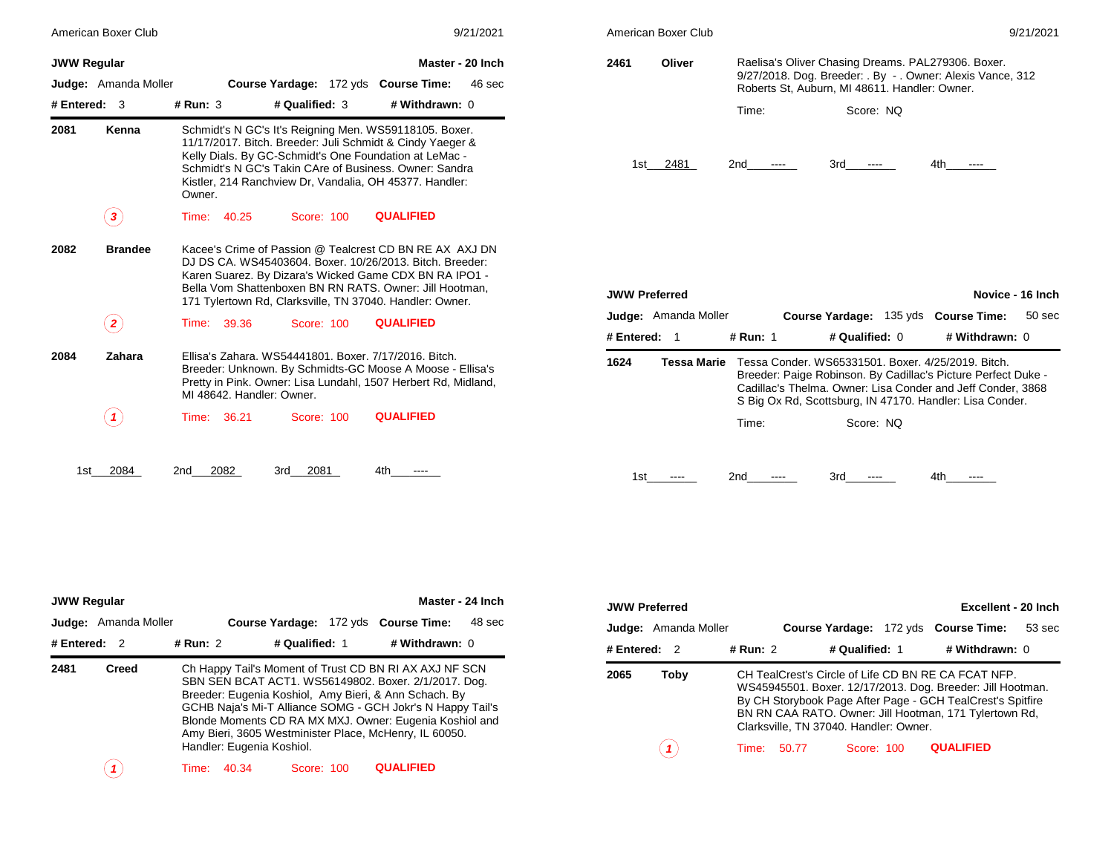|                    | American Boxer Club         |                           |                |            |                                                                                                                                                                                                                                                                                                      | 9/21/2021        |
|--------------------|-----------------------------|---------------------------|----------------|------------|------------------------------------------------------------------------------------------------------------------------------------------------------------------------------------------------------------------------------------------------------------------------------------------------------|------------------|
| <b>JWW Regular</b> |                             |                           |                |            |                                                                                                                                                                                                                                                                                                      | Master - 20 Inch |
|                    | <b>Judge:</b> Amanda Moller |                           |                |            | Course Yardage: 172 yds Course Time:                                                                                                                                                                                                                                                                 | 46 sec           |
| # Entered:         | 3                           | # $Run: 3$                | # Qualified: 3 |            | # Withdrawn: 0                                                                                                                                                                                                                                                                                       |                  |
| 2081               | Kenna                       | Owner.                    |                |            | Schmidt's N GC's It's Reigning Men. WS59118105. Boxer.<br>11/17/2017. Bitch. Breeder: Juli Schmidt & Cindy Yaeger &<br>Kelly Dials. By GC-Schmidt's One Foundation at LeMac -<br>Schmidt's N GC's Takin CAre of Business, Owner: Sandra<br>Kistler, 214 Ranchview Dr, Vandalia, OH 45377. Handler:   |                  |
|                    | 3                           | Time:<br>40.25            | Score: 100     |            | <b>QUALIFIED</b>                                                                                                                                                                                                                                                                                     |                  |
| 2082               | <b>Brandee</b>              |                           |                |            | Kacee's Crime of Passion @ Tealcrest CD BN RE AX AXJ DN<br>DJ DS CA. WS45403604. Boxer. 10/26/2013. Bitch. Breeder:<br>Karen Suarez. By Dizara's Wicked Game CDX BN RA IPO1 -<br>Bella Vom Shattenboxen BN RN RATS. Owner: Jill Hootman,<br>171 Tylertown Rd, Clarksville, TN 37040. Handler: Owner. |                  |
|                    | $\mathbf{z}$                | Time:<br>39.36            | Score: 100     |            | <b>QUALIFIED</b>                                                                                                                                                                                                                                                                                     |                  |
| 2084               | Zahara                      | MI 48642. Handler: Owner. |                |            | Ellisa's Zahara, WS54441801, Boxer, 7/17/2016, Bitch.<br>Breeder: Unknown. By Schmidts-GC Moose A Moose - Ellisa's<br>Pretty in Pink. Owner: Lisa Lundahl, 1507 Herbert Rd, Midland,                                                                                                                 |                  |
|                    |                             | Time:<br>36.21            |                | Score: 100 | <b>QUALIFIED</b>                                                                                                                                                                                                                                                                                     |                  |

|                    | American Boxer Club         |             |                                                                                                                                                                                                                                                                                                    | 9/21/2021                                                                                                                                                                                                                                |                      | American Boxer Club         |                 |                                                                                                                                                                                                                                                |                               | 9/21/2021                  |
|--------------------|-----------------------------|-------------|----------------------------------------------------------------------------------------------------------------------------------------------------------------------------------------------------------------------------------------------------------------------------------------------------|------------------------------------------------------------------------------------------------------------------------------------------------------------------------------------------------------------------------------------------|----------------------|-----------------------------|-----------------|------------------------------------------------------------------------------------------------------------------------------------------------------------------------------------------------------------------------------------------------|-------------------------------|----------------------------|
| <b>JWW Regular</b> | <b>Judge:</b> Amanda Moller |             | Course Yardage: 172 yds Course Time:                                                                                                                                                                                                                                                               | Master - 20 Inch<br>46 sec                                                                                                                                                                                                               | 2461                 | Oliver                      |                 | Raelisa's Oliver Chasing Dreams. PAL279306. Boxer.<br>9/27/2018. Dog. Breeder: . By - . Owner: Alexis Vance, 312<br>Roberts St, Auburn, MI 48611. Handler: Owner.                                                                              |                               |                            |
| #Entered: 3        |                             | # Run: 3    | # Qualified: 3                                                                                                                                                                                                                                                                                     | # Withdrawn: 0                                                                                                                                                                                                                           |                      |                             | Time:           | Score: NQ                                                                                                                                                                                                                                      |                               |                            |
| 2081               | Kenna                       | Owner.      | Schmidt's N GC's It's Reigning Men. WS59118105. Boxer.<br>11/17/2017. Bitch. Breeder: Juli Schmidt & Cindy Yaeger &<br>Kelly Dials. By GC-Schmidt's One Foundation at LeMac -<br>Schmidt's N GC's Takin CAre of Business. Owner: Sandra<br>Kistler, 214 Ranchview Dr, Vandalia, OH 45377. Handler: |                                                                                                                                                                                                                                          |                      | 1st 2481                    | 2nd<br>$\cdots$ | 3rd<br>$\hspace{0.1em} \ldots \hspace{0.1em} \ldots \hspace{0.1em}$                                                                                                                                                                            | 4th<br>$\cdots$               |                            |
|                    | $\left( \, {\bf 3} \right)$ | Time: 40.25 | Score: 100                                                                                                                                                                                                                                                                                         | <b>QUALIFIED</b>                                                                                                                                                                                                                         |                      |                             |                 |                                                                                                                                                                                                                                                |                               |                            |
| 2082               | <b>Brandee</b>              |             | 171 Tylertown Rd, Clarksville, TN 37040. Handler: Owner.                                                                                                                                                                                                                                           | Kacee's Crime of Passion @ Tealcrest CD BN RE AX AXJ DN<br>DJ DS CA, WS45403604, Boxer, 10/26/2013, Bitch, Breeder;<br>Karen Suarez. By Dizara's Wicked Game CDX BN RA IPO1 -<br>Bella Vom Shattenboxen BN RN RATS. Owner: Jill Hootman, | <b>JWW Preferred</b> |                             |                 |                                                                                                                                                                                                                                                |                               | Novice - 16 Inch           |
|                    | $\bf(2)$                    | Time: 39.36 | Score: 100                                                                                                                                                                                                                                                                                         | <b>QUALIFIED</b>                                                                                                                                                                                                                         |                      | <b>Judge:</b> Amanda Moller |                 | Course Yardage: 135 yds Course Time:                                                                                                                                                                                                           |                               | 50 sec                     |
|                    |                             |             |                                                                                                                                                                                                                                                                                                    |                                                                                                                                                                                                                                          | # Entered: 1         |                             | # Run: 1        | # Qualified: 0                                                                                                                                                                                                                                 | # Withdrawn: 0                |                            |
| 2084               | Zahara                      |             | Ellisa's Zahara. WS54441801. Boxer. 7/17/2016. Bitch.<br>MI 48642. Handler: Owner.                                                                                                                                                                                                                 | Breeder: Unknown. By Schmidts-GC Moose A Moose - Ellisa's<br>Pretty in Pink. Owner: Lisa Lundahl, 1507 Herbert Rd, Midland,                                                                                                              | 1624                 | Tessa Marie                 |                 | Tessa Conder. WS65331501. Boxer. 4/25/2019. Bitch.<br>Breeder: Paige Robinson. By Cadillac's Picture Perfect Duke -<br>Cadillac's Thelma. Owner: Lisa Conder and Jeff Conder, 3868<br>S Big Ox Rd, Scottsburg, IN 47170. Handler: Lisa Conder. |                               |                            |
|                    | $\bf(1)$                    | Time: 36.21 | Score: 100                                                                                                                                                                                                                                                                                         | <b>QUALIFIED</b>                                                                                                                                                                                                                         |                      |                             | Time:           | Score: NQ                                                                                                                                                                                                                                      |                               |                            |
|                    | 1st 2084                    | 2nd 2082    | 3rd 2081                                                                                                                                                                                                                                                                                           | 4th -<br>$\cdots$                                                                                                                                                                                                                        | 1st                  | $\cdots$                    | 2nd<br>$\cdots$ | 3rd<br>$- - - -$                                                                                                                                                                                                                               | 4th -<br>$\sim$ $\sim$ $\sim$ |                            |
|                    |                             |             |                                                                                                                                                                                                                                                                                                    |                                                                                                                                                                                                                                          |                      |                             |                 |                                                                                                                                                                                                                                                |                               |                            |
| <b>JWW Regular</b> |                             |             |                                                                                                                                                                                                                                                                                                    | Master - 24 Inch                                                                                                                                                                                                                         | <b>JWW Preferred</b> |                             |                 |                                                                                                                                                                                                                                                |                               | <b>Excellent - 20 Inch</b> |
|                    | <b>Judge:</b> Amanda Moller |             | <b>Course Yardage: 172 yds Course Time:</b>                                                                                                                                                                                                                                                        | 48 sec                                                                                                                                                                                                                                   |                      | <b>Judge:</b> Amanda Moller |                 | Course Yardage: 172 yds Course Time:                                                                                                                                                                                                           |                               | 53 sec                     |
| # Entered: 2       |                             | # Run: 2    | # Qualified: 1                                                                                                                                                                                                                                                                                     | # Withdrawn: 0                                                                                                                                                                                                                           | # Entered: 2         |                             | # Run: 2        | # Qualified: 1                                                                                                                                                                                                                                 | # Withdrawn: 0                |                            |
| 2481               | <b>Creed</b>                |             | Breeder: Eugenia Koshiol, Amy Bieri, & Ann Schach. By<br>$0.0110 \text{ M} \cdot 1.1 \cdot M \cdot T \cdot M$                                                                                                                                                                                      | Ch Happy Tail's Moment of Trust CD BN RI AX AXJ NF SCN<br>SBN SEN BCAT ACT1. WS56149802. Boxer. 2/1/2017. Dog.                                                                                                                           | 2065                 | <b>Toby</b>                 |                 | CH TealCrest's Circle of Life CD BN RE CA FCAT NFP.<br>WS45945501. Boxer. 12/17/2013. Dog. Breeder: Jill Hootman.<br>By CH Storybook Page After Page - GCH TealCrest's Spitfire                                                                |                               |                            |

*1* Time: 50.77 Score: 100 Clarksville, TN 37040. Handler: Owner. **QUALIFIED**

BN RN CAA RATO. Owner: Jill Hootman, 171 Tylertown Rd,

|                | <b>JWW Regular</b><br>Master - 24 Inch |          |                           |                |  |                                                                                                                                                                                                                                                                                                                                                            |        |  |  |
|----------------|----------------------------------------|----------|---------------------------|----------------|--|------------------------------------------------------------------------------------------------------------------------------------------------------------------------------------------------------------------------------------------------------------------------------------------------------------------------------------------------------------|--------|--|--|
|                | <b>Judge:</b> Amanda Moller            |          |                           |                |  | Course Yardage: 172 yds Course Time:                                                                                                                                                                                                                                                                                                                       | 48 sec |  |  |
| # Entered: $2$ |                                        | # Run: 2 |                           | # Qualified: 1 |  | # Withdrawn: 0                                                                                                                                                                                                                                                                                                                                             |        |  |  |
| 2481           | <b>Creed</b>                           |          | Handler: Eugenia Koshiol. |                |  | Ch Happy Tail's Moment of Trust CD BN RI AX AXJ NF SCN<br>SBN SEN BCAT ACT1. WS56149802. Boxer. 2/1/2017. Dog.<br>Breeder: Eugenia Koshiol, Amy Bieri, & Ann Schach. By<br>GCHB Naja's Mi-T Alliance SOMG - GCH Jokr's N Happy Tail's<br>Blonde Moments CD RA MX MXJ. Owner: Eugenia Koshiol and<br>Amy Bieri, 3605 Westminister Place, McHenry, IL 60050. |        |  |  |
|                |                                        | Time:    | 40.34                     | Score: 100     |  | <b>QUALIFIED</b>                                                                                                                                                                                                                                                                                                                                           |        |  |  |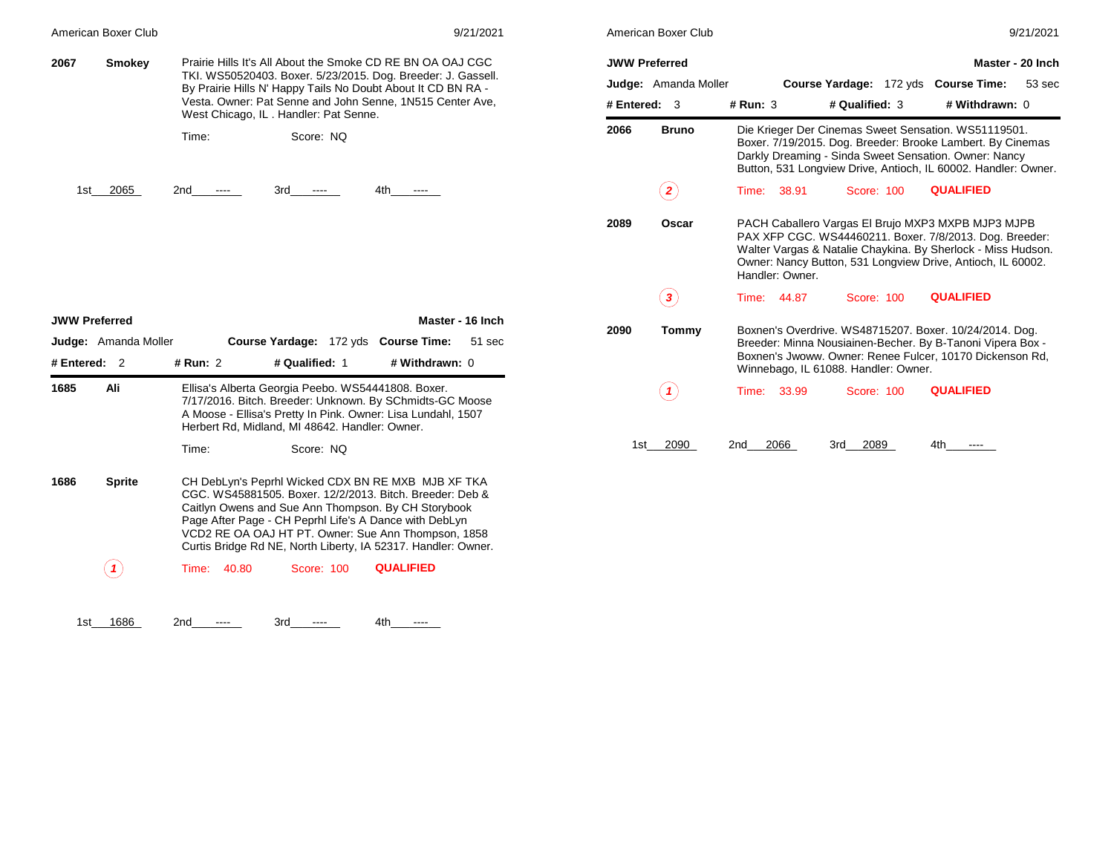|                              | American Boxer Club                                 |                                                                                                                                                                                                                                                                                                                                                         | 9/21/2021                          | American Boxer Club                                                                                                                                                            |              |                 |  |                                      |                                                                                                                                                                                                                                               | 9/21/2021 |
|------------------------------|-----------------------------------------------------|---------------------------------------------------------------------------------------------------------------------------------------------------------------------------------------------------------------------------------------------------------------------------------------------------------------------------------------------------------|------------------------------------|--------------------------------------------------------------------------------------------------------------------------------------------------------------------------------|--------------|-----------------|--|--------------------------------------|-----------------------------------------------------------------------------------------------------------------------------------------------------------------------------------------------------------------------------------------------|-----------|
| 2067                         | <b>Smokey</b>                                       | Prairie Hills It's All About the Smoke CD RE BN OA OAJ CGC<br>TKI. WS50520403. Boxer. 5/23/2015. Dog. Breeder: J. Gassell.<br>By Prairie Hills N' Happy Tails No Doubt About It CD BN RA -<br>Vesta. Owner: Pat Senne and John Senne, 1N515 Center Ave,                                                                                                 |                                    | <b>JWW Preferred</b><br>Master - 20 Inch<br>Judge: Amanda Moller<br>Course Yardage: 172 yds Course Time:<br># Withdrawn: 0<br># Entered: $3$<br>$#$ Run: $3$<br># Qualified: 3 |              |                 |  |                                      | 53 sec                                                                                                                                                                                                                                        |           |
|                              |                                                     | West Chicago, IL. Handler: Pat Senne.<br>Score: NQ<br>Time:                                                                                                                                                                                                                                                                                             |                                    | 2066                                                                                                                                                                           | <b>Bruno</b> |                 |  |                                      | Die Krieger Der Cinemas Sweet Sensation. WS51119501.<br>Boxer. 7/19/2015. Dog. Breeder: Brooke Lambert. By Cinemas<br>Darkly Dreaming - Sinda Sweet Sensation. Owner: Nancy<br>Button, 531 Longview Drive, Antioch, IL 60002. Handler: Owner. |           |
|                              | 1st_2065                                            | 2nd<br>3rd<br>$\sim$ $\sim$ $\sim$                                                                                                                                                                                                                                                                                                                      | 4th                                |                                                                                                                                                                                | $\bf(2)$     | Time: 38.91     |  | Score: 100                           | <b>QUALIFIED</b>                                                                                                                                                                                                                              |           |
|                              |                                                     |                                                                                                                                                                                                                                                                                                                                                         |                                    | 2089                                                                                                                                                                           | Oscar        | Handler: Owner. |  |                                      | PACH Caballero Vargas El Brujo MXP3 MXPB MJP3 MJPB<br>PAX XFP CGC. WS44460211. Boxer. 7/8/2013. Dog. Breeder:<br>Walter Vargas & Natalie Chaykina. By Sherlock - Miss Hudson.<br>Owner: Nancy Button, 531 Longview Drive, Antioch, IL 60002.  |           |
|                              |                                                     |                                                                                                                                                                                                                                                                                                                                                         |                                    |                                                                                                                                                                                |              |                 |  |                                      |                                                                                                                                                                                                                                               |           |
|                              |                                                     |                                                                                                                                                                                                                                                                                                                                                         |                                    |                                                                                                                                                                                | $\bf(3)$     | Time: 44.87     |  | Score: 100                           | <b>QUALIFIED</b>                                                                                                                                                                                                                              |           |
|                              | <b>JWW Preferred</b><br><b>Judge:</b> Amanda Moller | Course Yardage: 172 yds Course Time: 51 sec<br># Qualified: 1<br># Run: 2                                                                                                                                                                                                                                                                               | Master - 16 Inch<br># Withdrawn: 0 | 2090                                                                                                                                                                           | Tommy        |                 |  | Winnebago, IL 61088. Handler: Owner. | Boxnen's Overdrive. WS48715207. Boxer. 10/24/2014. Dog.<br>Breeder: Minna Nousiainen-Becher. By B-Tanoni Vipera Box -<br>Boxnen's Jwoww. Owner: Renee Fulcer, 10170 Dickenson Rd,                                                             |           |
|                              | Ali                                                 | Ellisa's Alberta Georgia Peebo. WS54441808. Boxer.<br>7/17/2016. Bitch. Breeder: Unknown. By SChmidts-GC Moose<br>A Moose - Ellisa's Pretty In Pink. Owner: Lisa Lundahl, 1507<br>Herbert Rd, Midland, MI 48642. Handler: Owner.                                                                                                                        |                                    |                                                                                                                                                                                | (1)          | Time: 33.99     |  | Score: 100                           | <b>QUALIFIED</b>                                                                                                                                                                                                                              |           |
|                              |                                                     | Score: NQ<br>Time:                                                                                                                                                                                                                                                                                                                                      |                                    |                                                                                                                                                                                | 1st 2090     | 2066<br>2nd     |  | 3rd 2089                             | 4th<br>$\cdots$                                                                                                                                                                                                                               |           |
| # Entered: 2<br>1685<br>1686 | <b>Sprite</b>                                       | CH DebLyn's Peprhl Wicked CDX BN RE MXB MJB XF TKA<br>CGC. WS45881505. Boxer. 12/2/2013. Bitch. Breeder: Deb &<br>Caitlyn Owens and Sue Ann Thompson. By CH Storybook<br>Page After Page - CH Peprhl Life's A Dance with DebLyn<br>VCD2 RE OA OAJ HT PT. Owner: Sue Ann Thompson, 1858<br>Curtis Bridge Rd NE, North Liberty, IA 52317. Handler: Owner. |                                    |                                                                                                                                                                                |              |                 |  |                                      |                                                                                                                                                                                                                                               |           |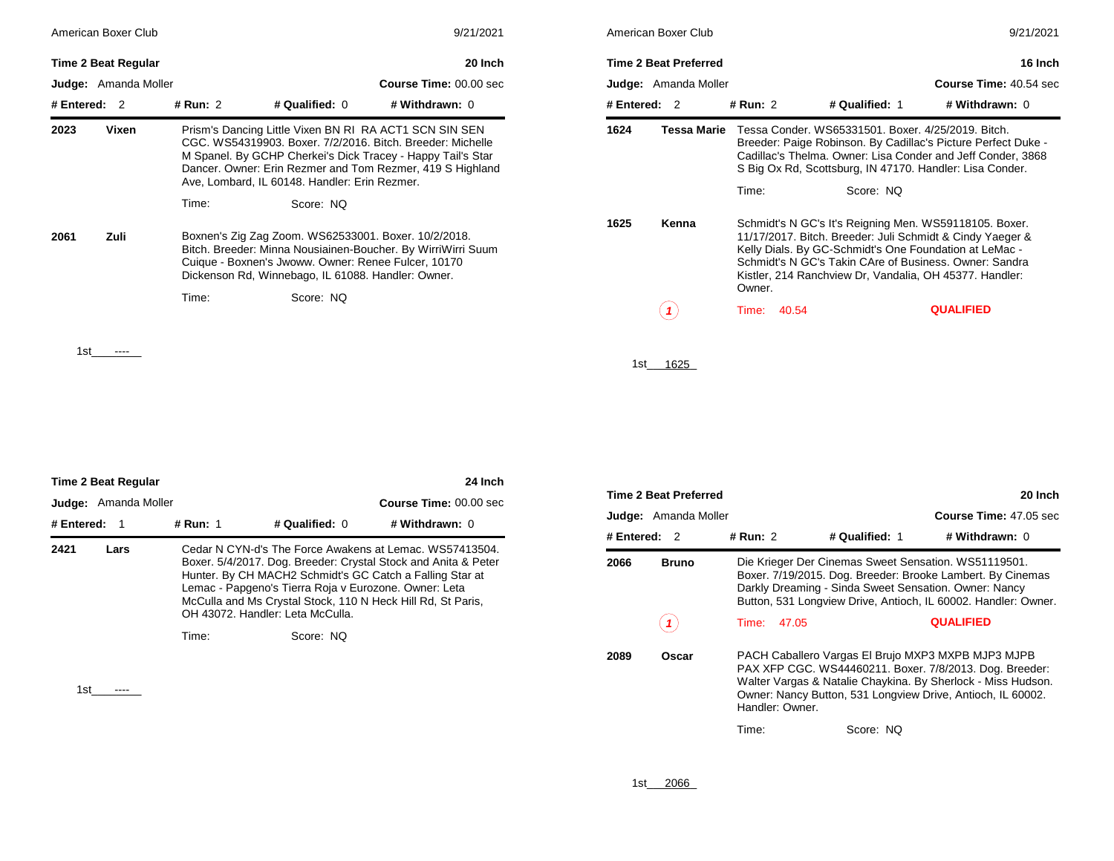| American Boxer Club        | 9/21/2021 |                                                                                                                                                                   |                                                                                                                                                                                        | American Boxer Club |                              |                | 9/21/2021                                                                                                                                                                                                                                                                                          |                                                                                                                              |  |
|----------------------------|-----------|-------------------------------------------------------------------------------------------------------------------------------------------------------------------|----------------------------------------------------------------------------------------------------------------------------------------------------------------------------------------|---------------------|------------------------------|----------------|----------------------------------------------------------------------------------------------------------------------------------------------------------------------------------------------------------------------------------------------------------------------------------------------------|------------------------------------------------------------------------------------------------------------------------------|--|
| <b>Time 2 Beat Regular</b> |           |                                                                                                                                                                   | 20 Inch                                                                                                                                                                                |                     | <b>Time 2 Beat Preferred</b> |                |                                                                                                                                                                                                                                                                                                    | 16 Inch                                                                                                                      |  |
| Judge: Amanda Moller       |           |                                                                                                                                                                   | Course Time: 00.00 sec                                                                                                                                                                 |                     | <b>Judge:</b> Amanda Moller  |                |                                                                                                                                                                                                                                                                                                    | Course Time: 40.54 sec                                                                                                       |  |
| # Entered: 2               | # Run: 2  | # Qualified: 0                                                                                                                                                    | # Withdrawn: 0                                                                                                                                                                         | # Entered: $2$      |                              | # Run: 2       | # Qualified: 1                                                                                                                                                                                                                                                                                     | # Withdrawn: 0                                                                                                               |  |
| 2023<br>Vixen              |           | Prism's Dancing Little Vixen BN RI RA ACT1 SCN SIN SEN<br>Ave, Lombard, IL 60148. Handler: Erin Rezmer.                                                           | CGC, WS54319903, Boxer, 7/2/2016, Bitch, Breeder, Michelle<br>M Spanel. By GCHP Cherkei's Dick Tracey - Happy Tail's Star<br>Dancer. Owner: Erin Rezmer and Tom Rezmer, 419 S Highland | 1624                | Tessa Marie                  | Time:          | Tessa Conder, WS65331501, Boxer, 4/25/2019, Bitch.<br>S Big Ox Rd, Scottsburg, IN 47170. Handler: Lisa Conder.<br>Score: NQ                                                                                                                                                                        | Breeder: Paige Robinson. By Cadillac's Picture Perfect Duke -<br>Cadillac's Thelma. Owner: Lisa Conder and Jeff Conder, 3868 |  |
|                            | Time:     | Score: NQ                                                                                                                                                         |                                                                                                                                                                                        |                     |                              |                |                                                                                                                                                                                                                                                                                                    |                                                                                                                              |  |
| Zuli<br>2061               |           | Boxnen's Zig Zag Zoom. WS62533001. Boxer. 10/2/2018.<br>Cuique - Boxnen's Jwoww. Owner: Renee Fulcer, 10170<br>Dickenson Rd, Winnebago, IL 61088. Handler: Owner. | Bitch. Breeder: Minna Nousiainen-Boucher. By WirriWirri Suum                                                                                                                           | 1625                | Kenna                        | Owner.         | Schmidt's N GC's It's Reigning Men. WS59118105. Boxer.<br>11/17/2017. Bitch. Breeder: Juli Schmidt & Cindy Yaeger &<br>Kelly Dials. By GC-Schmidt's One Foundation at LeMac -<br>Schmidt's N GC's Takin CAre of Business, Owner: Sandra<br>Kistler, 214 Ranchview Dr, Vandalia, OH 45377. Handler: |                                                                                                                              |  |
|                            | Time:     | Score: NQ                                                                                                                                                         |                                                                                                                                                                                        |                     | (1)                          | 40.54<br>Time: |                                                                                                                                                                                                                                                                                                    | <b>QUALIFIED</b>                                                                                                             |  |
| 1st                        |           |                                                                                                                                                                   |                                                                                                                                                                                        |                     | $10$ $10$                    |                |                                                                                                                                                                                                                                                                                                    |                                                                                                                              |  |

|                                                       | American Boxer Club<br>9/21/2021 |          |       |                                                    |                                                                                                                                                                                                                                                                                                    |  |  |  |  |
|-------------------------------------------------------|----------------------------------|----------|-------|----------------------------------------------------|----------------------------------------------------------------------------------------------------------------------------------------------------------------------------------------------------------------------------------------------------------------------------------------------------|--|--|--|--|
|                                                       | <b>Time 2 Beat Preferred</b>     |          |       |                                                    | 16 Inch                                                                                                                                                                                                                                                                                            |  |  |  |  |
| <b>Judge:</b> Amanda Moller<br>Course Time: 40.54 sec |                                  |          |       |                                                    |                                                                                                                                                                                                                                                                                                    |  |  |  |  |
| # Entered: $2$                                        |                                  | # Run: 2 |       | # Qualified: 1                                     | # Withdrawn: 0                                                                                                                                                                                                                                                                                     |  |  |  |  |
| 1624                                                  | <b>Tessa Marie</b>               |          |       | Tessa Conder. WS65331501. Boxer. 4/25/2019. Bitch. | Breeder: Paige Robinson. By Cadillac's Picture Perfect Duke -<br>Cadillac's Thelma. Owner: Lisa Conder and Jeff Conder, 3868<br>S Big Ox Rd, Scottsburg, IN 47170. Handler: Lisa Conder.                                                                                                           |  |  |  |  |
|                                                       |                                  | Time:    |       | Score: NQ                                          |                                                                                                                                                                                                                                                                                                    |  |  |  |  |
| 1625                                                  | Kenna                            | Owner.   |       |                                                    | Schmidt's N GC's It's Reigning Men. WS59118105. Boxer.<br>11/17/2017. Bitch. Breeder: Juli Schmidt & Cindy Yaeger &<br>Kelly Dials. By GC-Schmidt's One Foundation at LeMac -<br>Schmidt's N GC's Takin CAre of Business, Owner: Sandra<br>Kistler, 214 Ranchview Dr, Vandalia, OH 45377. Handler: |  |  |  |  |
|                                                       |                                  | Time:    | 40.54 |                                                    | <b>QUALIFIED</b>                                                                                                                                                                                                                                                                                   |  |  |  |  |

1st\_\_\_\_\_ 1625\_

| 24 Inch<br><b>Time 2 Beat Regular</b> |      |                                                                                                    |                  |                                                                                                                                                                                                                                                      |  |  |  |  |
|---------------------------------------|------|----------------------------------------------------------------------------------------------------|------------------|------------------------------------------------------------------------------------------------------------------------------------------------------------------------------------------------------------------------------------------------------|--|--|--|--|
| <b>Judge:</b> Amanda Moller           |      |                                                                                                    |                  | <b>Course Time: 00.00 sec</b>                                                                                                                                                                                                                        |  |  |  |  |
| # Entered: $1$                        |      | # Run: 1                                                                                           | # Qualified: $0$ | # Withdrawn: 0                                                                                                                                                                                                                                       |  |  |  |  |
| 2421                                  | Lars | Lemac - Papgeno's Tierra Roja v Eurozone. Owner: Leta<br>OH 43072. Handler: Leta McCulla.<br>Time: | Score: NO        | Cedar N CYN-d's The Force Awakens at Lemac. WS57413504.<br>Boxer. 5/4/2017. Dog. Breeder: Crystal Stock and Anita & Peter<br>Hunter. By CH MACH2 Schmidt's GC Catch a Falling Star at<br>McCulla and Ms Crystal Stock, 110 N Heck Hill Rd, St Paris, |  |  |  |  |

1st\_\_\_\_\_\_\_\_

| <b>Time 2 Beat Preferred</b><br>20 Inch |                 |                                                                                                                                                                                                                                              |                |                                                                                                                                                                                                                                               |  |  |  |  |
|-----------------------------------------|-----------------|----------------------------------------------------------------------------------------------------------------------------------------------------------------------------------------------------------------------------------------------|----------------|-----------------------------------------------------------------------------------------------------------------------------------------------------------------------------------------------------------------------------------------------|--|--|--|--|
| Judge: Amanda Moller                    |                 |                                                                                                                                                                                                                                              |                | <b>Course Time: 47.05 sec.</b>                                                                                                                                                                                                                |  |  |  |  |
| # Entered: 2                            | # Run: 2        |                                                                                                                                                                                                                                              | # Qualified: 1 | # Withdrawn: $0$                                                                                                                                                                                                                              |  |  |  |  |
| 2066<br>Bruno                           |                 |                                                                                                                                                                                                                                              |                | Die Krieger Der Cinemas Sweet Sensation. WS51119501.<br>Boxer. 7/19/2015. Dog. Breeder: Brooke Lambert. By Cinemas<br>Darkly Dreaming - Sinda Sweet Sensation. Owner: Nancy<br>Button, 531 Longview Drive, Antioch, IL 60002. Handler: Owner. |  |  |  |  |
|                                         | Time: 47.05     |                                                                                                                                                                                                                                              |                | <b>QUALIFIED</b>                                                                                                                                                                                                                              |  |  |  |  |
| 2089<br>Oscar                           | Handler: Owner. | PACH Caballero Vargas El Brujo MXP3 MXPB MJP3 MJPB<br>PAX XFP CGC. WS44460211. Boxer. 7/8/2013. Dog. Breeder:<br>Walter Vargas & Natalie Chaykina. By Sherlock - Miss Hudson.<br>Owner: Nancy Button, 531 Longview Drive, Antioch, IL 60002. |                |                                                                                                                                                                                                                                               |  |  |  |  |
|                                         | Time:           |                                                                                                                                                                                                                                              | Score: NQ      |                                                                                                                                                                                                                                               |  |  |  |  |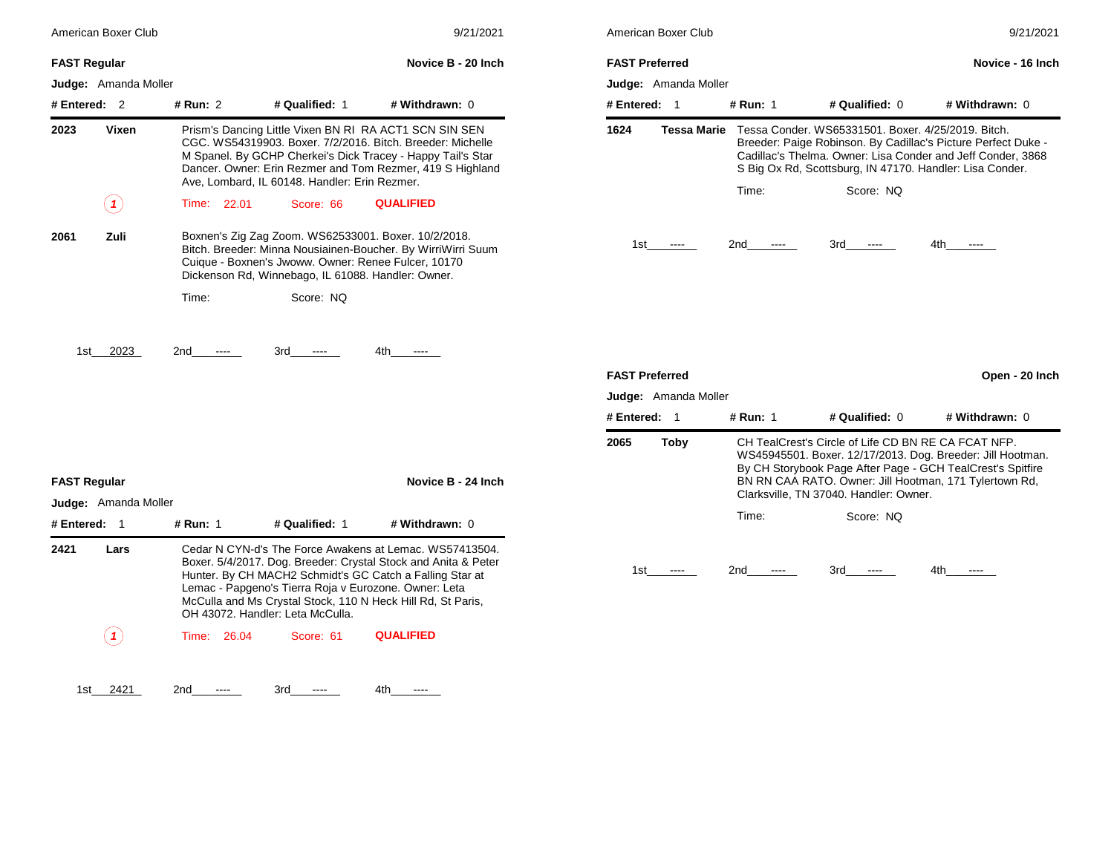| American Boxer Club                         |                |                                                                                                                                                                   | 9/21/2021                                                                                                                                                                                                                                            | American Boxer Club                           |                    |                 |                                                                                                                | 9/21/2021                                                                                                                                                                          |
|---------------------------------------------|----------------|-------------------------------------------------------------------------------------------------------------------------------------------------------------------|------------------------------------------------------------------------------------------------------------------------------------------------------------------------------------------------------------------------------------------------------|-----------------------------------------------|--------------------|-----------------|----------------------------------------------------------------------------------------------------------------|------------------------------------------------------------------------------------------------------------------------------------------------------------------------------------|
| <b>FAST Regular</b>                         |                |                                                                                                                                                                   | Novice B - 20 Inch                                                                                                                                                                                                                                   | <b>FAST Preferred</b>                         |                    |                 |                                                                                                                | Novice - 16 Inch                                                                                                                                                                   |
| <b>Judge:</b> Amanda Moller                 |                |                                                                                                                                                                   |                                                                                                                                                                                                                                                      | Judge: Amanda Moller                          |                    |                 |                                                                                                                |                                                                                                                                                                                    |
| # Entered: $2$                              | # Run: 2       | # Qualified: 1                                                                                                                                                    | # Withdrawn: 0                                                                                                                                                                                                                                       | # Entered: 1                                  |                    | # Run: 1        | # Qualified: 0                                                                                                 | # Withdrawn: 0                                                                                                                                                                     |
| 2023<br>Vixen                               |                | Ave. Lombard. IL 60148. Handler: Erin Rezmer.                                                                                                                     | Prism's Dancing Little Vixen BN RI RA ACT1 SCN SIN SEN<br>CGC. WS54319903. Boxer. 7/2/2016. Bitch. Breeder: Michelle<br>M Spanel. By GCHP Cherkei's Dick Tracey - Happy Tail's Star<br>Dancer. Owner: Erin Rezmer and Tom Rezmer, 419 S Highland     | 1624                                          | <b>Tessa Marie</b> |                 | Tessa Conder. WS65331501. Boxer. 4/25/2019. Bitch.<br>S Big Ox Rd, Scottsburg, IN 47170. Handler: Lisa Conder. | Breeder: Paige Robinson. By Cadillac's Picture Perfect Duke -<br>Cadillac's Thelma. Owner: Lisa Conder and Jeff Conder, 3868                                                       |
| (1)                                         | Time: 22.01    | Score: 66                                                                                                                                                         | <b>QUALIFIED</b>                                                                                                                                                                                                                                     |                                               |                    | Time:           | Score: NQ                                                                                                      |                                                                                                                                                                                    |
| Zuli<br>2061                                |                | Boxnen's Zig Zag Zoom. WS62533001. Boxer. 10/2/2018.<br>Cuique - Boxnen's Jwoww. Owner: Renee Fulcer, 10170<br>Dickenson Rd, Winnebago, IL 61088. Handler: Owner. | Bitch. Breeder: Minna Nousiainen-Boucher. By WirriWirri Suum                                                                                                                                                                                         | 1st                                           | $\cdots$           | 2nd<br>$\cdots$ | 3rd<br>$\cdots$                                                                                                | 4th<br>$\cdots$                                                                                                                                                                    |
|                                             | Time:          | Score: NQ                                                                                                                                                         |                                                                                                                                                                                                                                                      |                                               |                    |                 |                                                                                                                |                                                                                                                                                                                    |
| 2023<br>1st l                               | 2nd            | 3rd<br>$\sim$ $\sim$                                                                                                                                              | 4th -                                                                                                                                                                                                                                                | <b>FAST Preferred</b><br>Judge: Amanda Moller |                    |                 |                                                                                                                | Open - 20 Inch                                                                                                                                                                     |
|                                             |                |                                                                                                                                                                   |                                                                                                                                                                                                                                                      | # Entered: 1                                  |                    | # Run: 1        | # Qualified: 0                                                                                                 | # Withdrawn: 0                                                                                                                                                                     |
| <b>FAST Regular</b><br>Judge: Amanda Moller |                |                                                                                                                                                                   | Novice B - 24 Inch                                                                                                                                                                                                                                   | 2065                                          | <b>Toby</b>        |                 | CH TealCrest's Circle of Life CD BN RE CA FCAT NFP.<br>Clarksville, TN 37040. Handler: Owner.                  | WS45945501. Boxer. 12/17/2013. Dog. Breeder: Jill Hootman.<br>By CH Storybook Page After Page - GCH TealCrest's Spitfire<br>BN RN CAA RATO. Owner: Jill Hootman, 171 Tylertown Rd, |
| # Entered: 1                                | # Run: 1       | # Qualified: 1                                                                                                                                                    | # Withdrawn: 0                                                                                                                                                                                                                                       |                                               |                    | Time:           | Score: NQ                                                                                                      |                                                                                                                                                                                    |
| 2421<br>Lars                                |                | Lemac - Papgeno's Tierra Roja v Eurozone. Owner: Leta<br>OH 43072. Handler: Leta McCulla.                                                                         | Cedar N CYN-d's The Force Awakens at Lemac. WS57413504.<br>Boxer. 5/4/2017. Dog. Breeder: Crystal Stock and Anita & Peter<br>Hunter. By CH MACH2 Schmidt's GC Catch a Falling Star at<br>McCulla and Ms Crystal Stock, 110 N Heck Hill Rd, St Paris, | 1st                                           | $\cdots$           | 2nd<br>$\cdots$ | 3rd<br>$\cdots$                                                                                                | 4th<br>$-- -$                                                                                                                                                                      |
| (1)                                         | 26.04<br>Time: | Score: 61                                                                                                                                                         | <b>QUALIFIED</b>                                                                                                                                                                                                                                     |                                               |                    |                 |                                                                                                                |                                                                                                                                                                                    |
|                                             |                |                                                                                                                                                                   |                                                                                                                                                                                                                                                      |                                               |                    |                 |                                                                                                                |                                                                                                                                                                                    |

1st\_\_\_\_\_\_\_\_ 2421 2nd\_\_\_\_\_\_\_\_ ---- 3rd\_\_\_\_\_\_\_\_ ---- 4th\_\_\_\_\_\_\_\_ ----

| American Boxer Club                                  |             |                                                                                                                | 9/21/2021                                                                                                                    |
|------------------------------------------------------|-------------|----------------------------------------------------------------------------------------------------------------|------------------------------------------------------------------------------------------------------------------------------|
| <b>FAST Preferred</b><br><b>Judge:</b> Amanda Moller |             |                                                                                                                | Novice - 16 Inch                                                                                                             |
| # Entered:<br>1                                      | # Run: 1    | # Qualified: $0$                                                                                               | # Withdrawn: 0                                                                                                               |
| 1624<br>Tessa Marie                                  |             | Tessa Conder, WS65331501, Boxer, 4/25/2019, Bitch.<br>S Big Ox Rd, Scottsburg, IN 47170. Handler: Lisa Conder. | Breeder: Paige Robinson. By Cadillac's Picture Perfect Duke -<br>Cadillac's Thelma. Owner: Lisa Conder and Jeff Conder, 3868 |
|                                                      | Time:       | Score: NO                                                                                                      |                                                                                                                              |
| 1st<br>----                                          | 2nd<br>---- | 3rd -<br>----                                                                                                  | 4th -<br>----                                                                                                                |
| <b>FAST Preferred</b><br>Judge: Amanda Moller        |             |                                                                                                                | Open - 20 Inch                                                                                                               |
| -1<br># Entered: .                                   | # Run: 1    | $#$ Qualified: $0$                                                                                             | # Withdrawn: 0                                                                                                               |

| # Entered: |      | # Run: 1                                                                                                                                                                                                                                                                            | # Qualified: $0$ | # Withdrawn: 0 |  |  |  |  |
|------------|------|-------------------------------------------------------------------------------------------------------------------------------------------------------------------------------------------------------------------------------------------------------------------------------------|------------------|----------------|--|--|--|--|
| 2065       | Toby | CH TealCrest's Circle of Life CD BN RE CA FCAT NFP.<br>WS45945501. Boxer. 12/17/2013. Dog. Breeder: Jill Hootman.<br>By CH Storybook Page After Page - GCH TealCrest's Spitfire<br>BN RN CAA RATO. Owner: Jill Hootman, 171 Tylertown Rd,<br>Clarksville, TN 37040. Handler: Owner. |                  |                |  |  |  |  |
|            |      | Time:                                                                                                                                                                                                                                                                               | Score: NO        |                |  |  |  |  |
| 1st        |      | 2nd                                                                                                                                                                                                                                                                                 | 3rd              | 4th            |  |  |  |  |